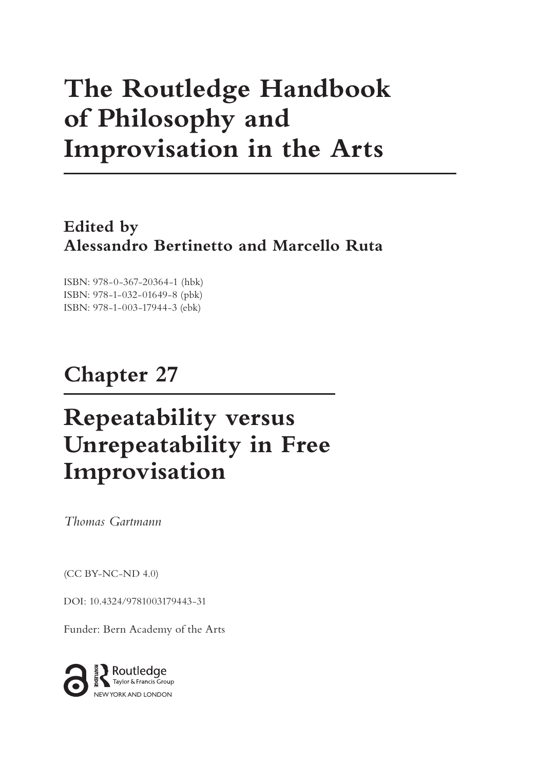# **The Routledge Handbook of Philosophy and Improvisation in the Arts**

**Edited by Alessandro Bertinetto and Marcello Ruta**

ISBN: 978-0-367-20364-1 (hbk) ISBN: 978-1-032-01649-8 (pbk) ISBN: 978-1-003-17944-3 (ebk)

## **Chapter 27**

## **Repeatability versus Unrepeatability in Free Improvisation**

*Thomas Gartmann*

(CC BY-NC-ND 4.0)

[DOI: 10.4324/9781003179443-31](https://doi.org/10.4324/9781003179443-31)

Funder: Bern Academy of the Arts

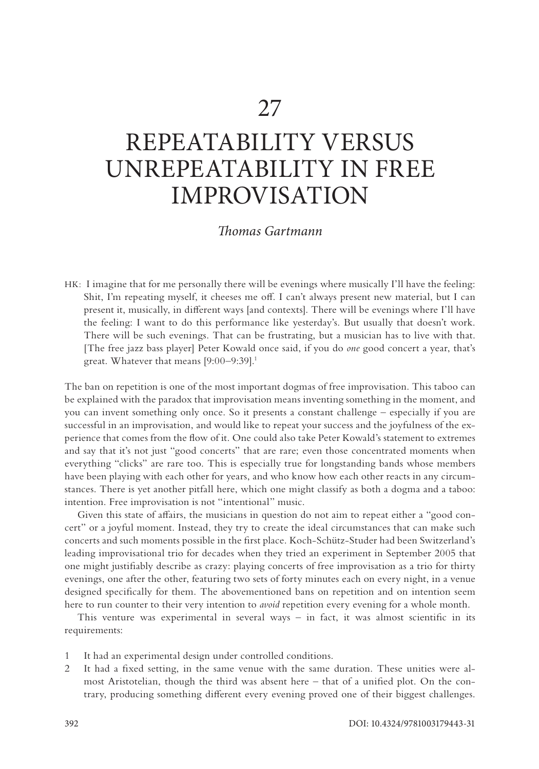## <span id="page-1-0"></span>REPEATABILITY VERSUS UNREPEATABILITY IN FREE IMPROVISATION

## *Thomas Gartmann*

HK: I imagine that for me personally there will be evenings where musically I'll have the feeling: Shit, I'm repeating myself, it cheeses me off. I can't always present new material, but I can present it, musically, in different ways [and contexts]. There will be evenings where I'll have the feeling: I want to do this performance like yesterday's. But usually that doesn't work. There will be such evenings. That can be frustrating, but a musician has to live with that. [The free jazz bass player] Peter Kowald once said, if you do *one* good concert a year, that's great. Whatever that means [9:00–9:39].<sup>1</sup>

The ban on repetition is one of the most important dogmas of free improvisation. This taboo can be explained with the paradox that improvisation means inventing something in the moment, and you can invent something only once. So it presents a constant challenge – especially if you are successful in an improvisation, and would like to repeat your success and the joyfulness of the experience that comes from the flow of it. One could also take Peter Kowald's statement to extremes and say that it's not just "good concerts" that are rare; even those concentrated moments when everything "clicks" are rare too. This is especially true for longstanding bands whose members have been playing with each other for years, and who know how each other reacts in any circumstances. There is yet another pitfall here, which one might classify as both a dogma and a taboo: intention. Free improvisation is not "intentional" music.

Given this state of affairs, the musicians in question do not aim to repeat either a "good concert" or a joyful moment. Instead, they try to create the ideal circumstances that can make such concerts and such moments possible in the first place. Koch-Schütz-Studer had been Switzerland's leading improvisational trio for decades when they tried an experiment in September 2005 that one might justifiably describe as crazy: playing concerts of free improvisation as a trio for thirty evenings, one after the other, featuring two sets of forty minutes each on every night, in a venue designed specifically for them. The abovementioned bans on repetition and on intention seem here to run counter to their very intention to *avoid* repetition every evening for a whole month.

This venture was experimental in several ways – in fact, it was almost scientific in its requirements:

- 1 It had an experimental design under controlled conditions.
- 2 It had a fixed setting, in the same venue with the same duration. These unities were almost Aristotelian, though the third was absent here – that of a unified plot. On the contrary, producing something different every evening proved one of their biggest challenges.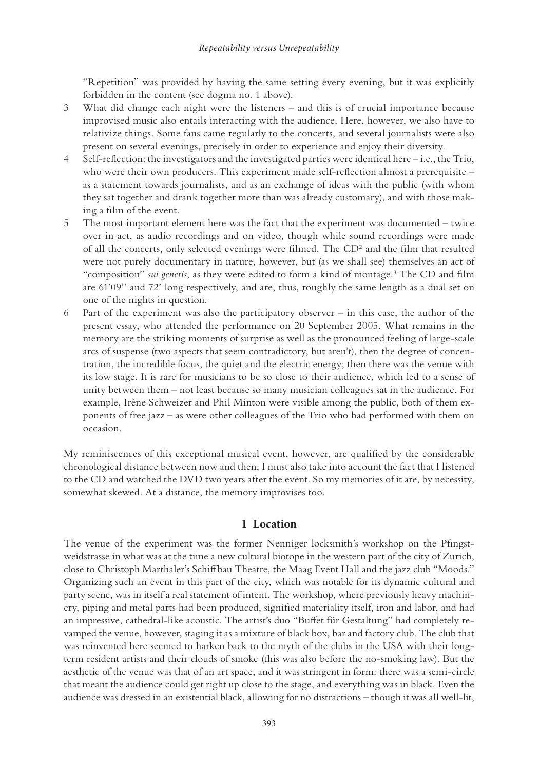<span id="page-2-0"></span>"Repetition" was provided by having the same setting every evening, but it was explicitly forbidden in the content (see dogma no. 1 above).

- 3 What did change each night were the listeners and this is of crucial importance because improvised music also entails interacting with the audience. Here, however, we also have to relativize things. Some fans came regularly to the concerts, and several journalists were also present on several evenings, precisely in order to experience and enjoy their diversity.
- 4 Self-reflection: the investigators and the investigated parties were identical here i.e., the Trio, who were their own producers. This experiment made self-reflection almost a prerequisite – as a statement towards journalists, and as an exchange of ideas with the public (with whom they sat together and drank together more than was already customary), and with those making a film of the event.
- 5 The most important element here was the fact that the experiment was documented twice over in act, as audio recordings and on video, though while sound recordings were made of all the concerts, only selected evenings were filmed. The CD<sup>2</sup> and the film that resulted were not purely documentary in nature, however, but (as we shall see) themselves an act of "composition" *sui generis*, as they were edited to form a kind of montage.<sup>3</sup> The CD and film are 61'09'' and 72' long respectively, and are, thus, roughly the same length as a dual set on one of the nights in question.
- 6 Part of the experiment was also the participatory observer in this case, the author of the present essay, who attended the performance on 20 September 2005. What remains in the memory are the striking moments of surprise as well as the pronounced feeling of large-scale arcs of suspense (two aspects that seem contradictory, but aren't), then the degree of concentration, the incredible focus, the quiet and the electric energy; then there was the venue with its low stage. It is rare for musicians to be so close to their audience, which led to a sense of unity between them – not least because so many musician colleagues sat in the audience. For example, Irène Schweizer and Phil Minton were visible among the public, both of them exponents of free jazz – as were other colleagues of the Trio who had performed with them on occasion.

My reminiscences of this exceptional musical event, however, are qualified by the considerable chronological distance between now and then; I must also take into account the fact that I listened to the CD and watched the DVD two years after the event. So my memories of it are, by necessity, somewhat skewed. At a distance, the memory improvises too.

## **1 Location**

The venue of the experiment was the former Nenniger locksmith's workshop on the Pfingstweidstrasse in what was at the time a new cultural biotope in the western part of the city of Zurich, close to Christoph Marthaler's Schiffbau Theatre, the Maag Event Hall and the jazz club "Moods." Organizing such an event in this part of the city, which was notable for its dynamic cultural and party scene, was in itself a real statement of intent. The workshop, where previously heavy machinery, piping and metal parts had been produced, signified materiality itself, iron and labor, and had an impressive, cathedral-like acoustic. The artist's duo "Buffet für Gestaltung" had completely revamped the venue, however, staging it as a mixture of black box, bar and factory club. The club that was reinvented here seemed to harken back to the myth of the clubs in the USA with their longterm resident artists and their clouds of smoke (this was also before the no-smoking law). But the aesthetic of the venue was that of an art space, and it was stringent in form: there was a semi-circle that meant the audience could get right up close to the stage, and everything was in black. Even the audience was dressed in an existential black, allowing for no distractions – though it was all well-lit,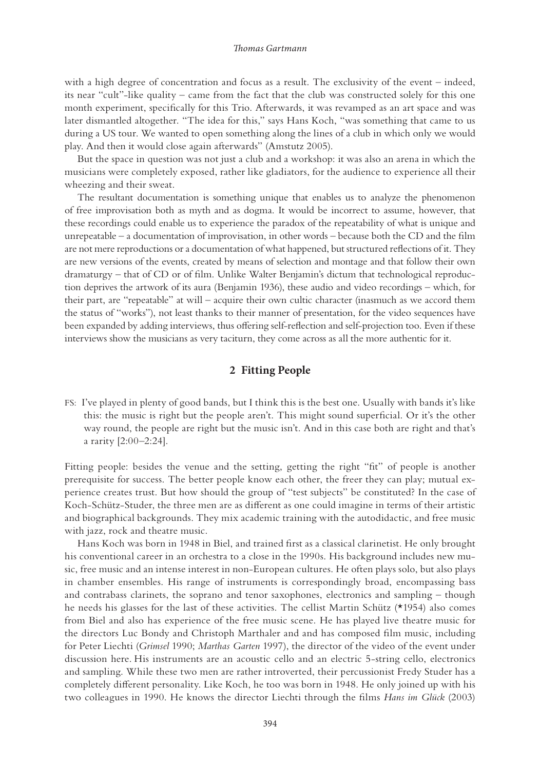with a high degree of concentration and focus as a result. The exclusivity of the event – indeed, its near "cult"-like quality – came from the fact that the club was constructed solely for this one month experiment, specifically for this Trio. Afterwards, it was revamped as an art space and was later dismantled altogether. "The idea for this," says Hans Koch, "was something that came to us during a US tour. We wanted to open something along the lines of a club in which only we would play. And then it would close again afterwards" (Amstutz 2005).

But the space in question was not just a club and a workshop: it was also an arena in which the musicians were completely exposed, rather like gladiators, for the audience to experience all their wheezing and their sweat.

The resultant documentation is something unique that enables us to analyze the phenomenon of free improvisation both as myth and as dogma. It would be incorrect to assume, however, that these recordings could enable us to experience the paradox of the repeatability of what is unique and unrepeatable – a documentation of improvisation, in other words – because both the CD and the film are not mere reproductions or a documentation of what happened, but structured reflections of it. They are new versions of the events, created by means of selection and montage and that follow their own dramaturgy – that of CD or of film. Unlike Walter Benjamin's dictum that technological reproduction deprives the artwork of its aura (Benjamin 1936), these audio and video recordings – which, for their part, are "repeatable" at will – acquire their own cultic character (inasmuch as we accord them the status of "works"), not least thanks to their manner of presentation, for the video sequences have been expanded by adding interviews, thus offering self-reflection and self-projection too. Even if these interviews show the musicians as very taciturn, they come across as all the more authentic for it.

## **2 Fitting People**

FS: I've played in plenty of good bands, but I think this is the best one. Usually with bands it's like this: the music is right but the people aren't. This might sound superficial. Or it's the other way round, the people are right but the music isn't. And in this case both are right and that's a rarity [2:00–2:24].

Fitting people: besides the venue and the setting, getting the right "fit" of people is another prerequisite for success. The better people know each other, the freer they can play; mutual experience creates trust. But how should the group of "test subjects" be constituted? In the case of Koch-Schütz-Studer, the three men are as different as one could imagine in terms of their artistic and biographical backgrounds. They mix academic training with the autodidactic, and free music with jazz, rock and theatre music.

Hans Koch was born in 1948 in Biel, and trained first as a classical clarinetist. He only brought his conventional career in an orchestra to a close in the 1990s. His background includes new music, free music and an intense interest in non-European cultures. He often plays solo, but also plays in chamber ensembles. His range of instruments is correspondingly broad, encompassing bass and contrabass clarinets, the soprano and tenor saxophones, electronics and sampling – though he needs his glasses for the last of these activities. The cellist Martin Schütz (\*1954) also comes from Biel and also has experience of the free music scene. He has played live theatre music for the directors Luc Bondy and Christoph Marthaler and and has composed film music, including for Peter Liechti (*Grimsel* 1990; *Marthas Garten* 1997), the director of the video of the event under discussion here. His instruments are an acoustic cello and an electric 5-string cello, electronics and sampling. While these two men are rather introverted, their percussionist Fredy Studer has a completely different personality. Like Koch, he too was born in 1948. He only joined up with his two colleagues in 1990. He knows the director Liechti through the films *Hans im Glück* (2003)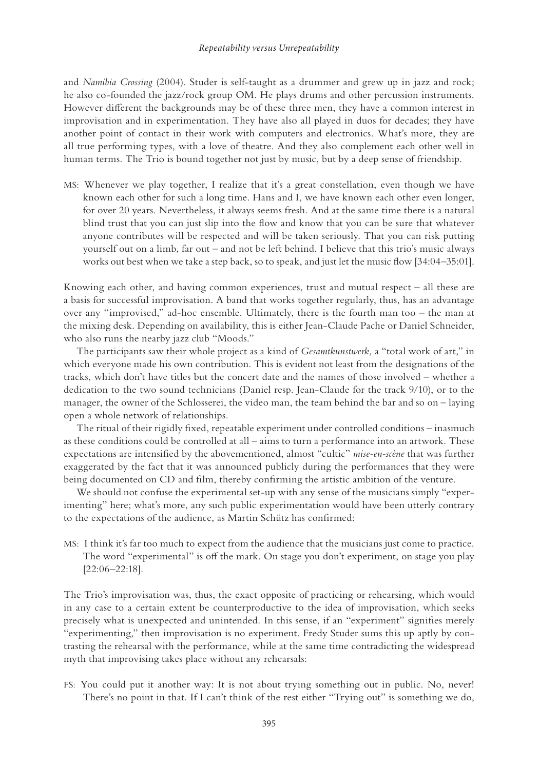#### *Repeatability versus Unrepeatability*

and *Namibia Crossing* (2004). Studer is self-taught as a drummer and grew up in jazz and rock; he also co-founded the jazz/rock group OM. He plays drums and other percussion instruments. However different the backgrounds may be of these three men, they have a common interest in improvisation and in experimentation. They have also all played in duos for decades; they have another point of contact in their work with computers and electronics. What's more, they are all true performing types, with a love of theatre. And they also complement each other well in human terms. The Trio is bound together not just by music, but by a deep sense of friendship.

MS: Whenever we play together, I realize that it's a great constellation, even though we have known each other for such a long time. Hans and I, we have known each other even longer, for over 20 years. Nevertheless, it always seems fresh. And at the same time there is a natural blind trust that you can just slip into the flow and know that you can be sure that whatever anyone contributes will be respected and will be taken seriously. That you can risk putting yourself out on a limb, far out – and not be left behind. I believe that this trio's music always works out best when we take a step back, so to speak, and just let the music flow [34:04–35:01].

Knowing each other, and having common experiences, trust and mutual respect – all these are a basis for successful improvisation. A band that works together regularly, thus, has an advantage over any "improvised," ad-hoc ensemble. Ultimately, there is the fourth man too – the man at the mixing desk. Depending on availability, this is either Jean-Claude Pache or Daniel Schneider, who also runs the nearby jazz club "Moods."

The participants saw their whole project as a kind of *Gesamtkunstwerk*, a "total work of art," in which everyone made his own contribution. This is evident not least from the designations of the tracks, which don't have titles but the concert date and the names of those involved – whether a dedication to the two sound technicians (Daniel resp. Jean-Claude for the track 9/10), or to the manager, the owner of the Schlosserei, the video man, the team behind the bar and so on – laying open a whole network of relationships.

The ritual of their rigidly fixed, repeatable experiment under controlled conditions – inasmuch as these conditions could be controlled at all – aims to turn a performance into an artwork. These expectations are intensified by the abovementioned, almost "cultic" *mise-en-scène* that was further exaggerated by the fact that it was announced publicly during the performances that they were being documented on CD and film, thereby confirming the artistic ambition of the venture.

We should not confuse the experimental set-up with any sense of the musicians simply "experimenting" here; what's more, any such public experimentation would have been utterly contrary to the expectations of the audience, as Martin Schütz has confirmed:

MS: I think it's far too much to expect from the audience that the musicians just come to practice. The word "experimental" is off the mark. On stage you don't experiment, on stage you play [22:06–22:18].

The Trio's improvisation was, thus, the exact opposite of practicing or rehearsing, which would in any case to a certain extent be counterproductive to the idea of improvisation, which seeks precisely what is unexpected and unintended. In this sense, if an "experiment" signifies merely "experimenting," then improvisation is no experiment. Fredy Studer sums this up aptly by contrasting the rehearsal with the performance, while at the same time contradicting the widespread myth that improvising takes place without any rehearsals:

FS: You could put it another way: It is not about trying something out in public. No, never! There's no point in that. If I can't think of the rest either "Trying out" is something we do,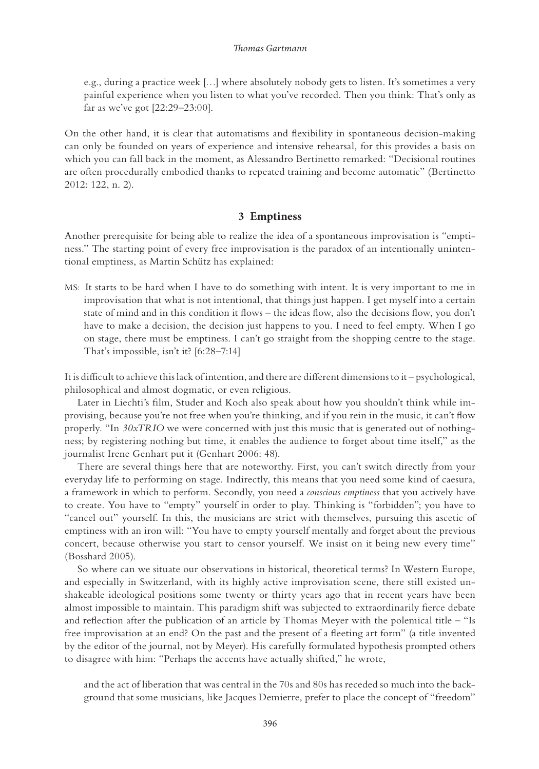e.g., during a practice week […] where absolutely nobody gets to listen. It's sometimes a very painful experience when you listen to what you've recorded. Then you think: That's only as far as we've got [22:29–23:00].

On the other hand, it is clear that automatisms and flexibility in spontaneous decision-making can only be founded on years of experience and intensive rehearsal, for this provides a basis on which you can fall back in the moment, as Alessandro Bertinetto remarked: "Decisional routines are often procedurally embodied thanks to repeated training and become automatic" (Bertinetto 2012: 122, n. 2).

## **3 Emptiness**

Another prerequisite for being able to realize the idea of a spontaneous improvisation is "emptiness." The starting point of every free improvisation is the paradox of an intentionally unintentional emptiness, as Martin Schütz has explained:

MS: It starts to be hard when I have to do something with intent. It is very important to me in improvisation that what is not intentional, that things just happen. I get myself into a certain state of mind and in this condition it flows – the ideas flow, also the decisions flow, you don't have to make a decision, the decision just happens to you. I need to feel empty. When I go on stage, there must be emptiness. I can't go straight from the shopping centre to the stage. That's impossible, isn't it? [6:28–7:14]

It is difficult to achieve this lack of intention, and there are different dimensions to it – psychological, philosophical and almost dogmatic, or even religious.

Later in Liechti's film, Studer and Koch also speak about how you shouldn't think while improvising, because you're not free when you're thinking, and if you rein in the music, it can't flow properly. "In *30xTRIO* we were concerned with just this music that is generated out of nothingness; by registering nothing but time, it enables the audience to forget about time itself," as the journalist Irene Genhart put it (Genhart 2006: 48).

There are several things here that are noteworthy. First, you can't switch directly from your everyday life to performing on stage. Indirectly, this means that you need some kind of caesura, a framework in which to perform. Secondly, you need a *conscious emptiness* that you actively have to create. You have to "empty" yourself in order to play. Thinking is "forbidden"; you have to "cancel out" yourself. In this, the musicians are strict with themselves, pursuing this ascetic of emptiness with an iron will: "You have to empty yourself mentally and forget about the previous concert, because otherwise you start to censor yourself. We insist on it being new every time" (Bosshard 2005).

So where can we situate our observations in historical, theoretical terms? In Western Europe, and especially in Switzerland, with its highly active improvisation scene, there still existed unshakeable ideological positions some twenty or thirty years ago that in recent years have been almost impossible to maintain. This paradigm shift was subjected to extraordinarily fierce debate and reflection after the publication of an article by Thomas Meyer with the polemical title – "Is free improvisation at an end? On the past and the present of a fleeting art form" (a title invented by the editor of the journal, not by Meyer). His carefully formulated hypothesis prompted others to disagree with him: "Perhaps the accents have actually shifted," he wrote,

and the act of liberation that was central in the 70s and 80s has receded so much into the background that some musicians, like Jacques Demierre, prefer to place the concept of "freedom"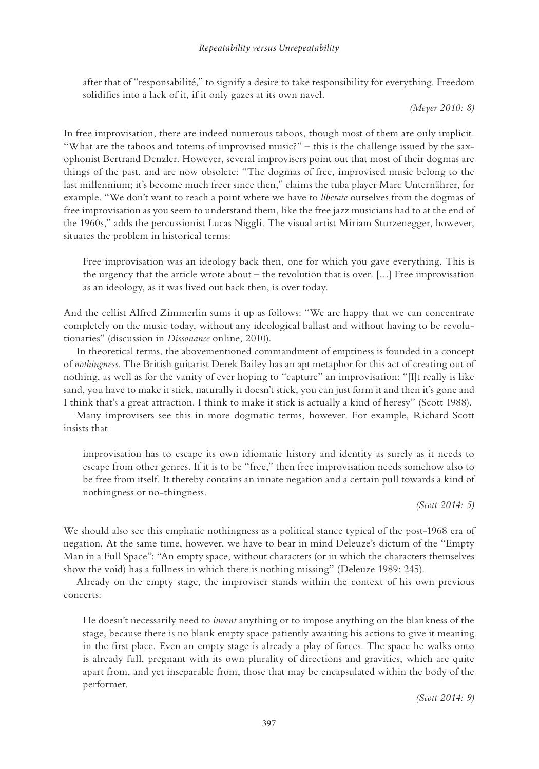### *Repeatability versus Unrepeatability*

after that of "responsabilité," to signify a desire to take responsibility for everything. Freedom solidifies into a lack of it, if it only gazes at its own navel.

*(Meyer 2010: 8)*

In free improvisation, there are indeed numerous taboos, though most of them are only implicit. "What are the taboos and totems of improvised music?" – this is the challenge issued by the saxophonist Bertrand Denzler. However, several improvisers point out that most of their dogmas are things of the past, and are now obsolete: "The dogmas of free, improvised music belong to the last millennium; it's become much freer since then," claims the tuba player Marc Unternährer, for example. "We don't want to reach a point where we have to *liberate* ourselves from the dogmas of free improvisation as you seem to understand them, like the free jazz musicians had to at the end of the 1960s," adds the percussionist Lucas Niggli. The visual artist Miriam Sturzenegger, however, situates the problem in historical terms:

Free improvisation was an ideology back then, one for which you gave everything. This is the urgency that the article wrote about – the revolution that is over. […] Free improvisation as an ideology, as it was lived out back then, is over today.

And the cellist Alfred Zimmerlin sums it up as follows: "We are happy that we can concentrate completely on the music today, without any ideological ballast and without having to be revolutionaries" (discussion in *Dissonance* online, 2010).

In theoretical terms, the abovementioned commandment of emptiness is founded in a concept of *nothingness*. The British guitarist Derek Bailey has an apt metaphor for this act of creating out of nothing, as well as for the vanity of ever hoping to "capture" an improvisation: "[I]t really is like sand, you have to make it stick, naturally it doesn't stick, you can just form it and then it's gone and I think that's a great attraction. I think to make it stick is actually a kind of heresy" (Scott 1988).

Many improvisers see this in more dogmatic terms, however. For example, Richard Scott insists that

improvisation has to escape its own idiomatic history and identity as surely as it needs to escape from other genres. If it is to be "free," then free improvisation needs somehow also to be free from itself. It thereby contains an innate negation and a certain pull towards a kind of nothingness or no-thingness.

*(Scott 2014: 5)*

We should also see this emphatic nothingness as a political stance typical of the post-1968 era of negation. At the same time, however, we have to bear in mind Deleuze's dictum of the "Empty Man in a Full Space": "An empty space, without characters (or in which the characters themselves show the void) has a fullness in which there is nothing missing" (Deleuze 1989: 245).

Already on the empty stage, the improviser stands within the context of his own previous concerts:

He doesn't necessarily need to *invent* anything or to impose anything on the blankness of the stage, because there is no blank empty space patiently awaiting his actions to give it meaning in the first place. Even an empty stage is already a play of forces. The space he walks onto is already full, pregnant with its own plurality of directions and gravities, which are quite apart from, and yet inseparable from, those that may be encapsulated within the body of the performer.

*(Scott 2014: 9)*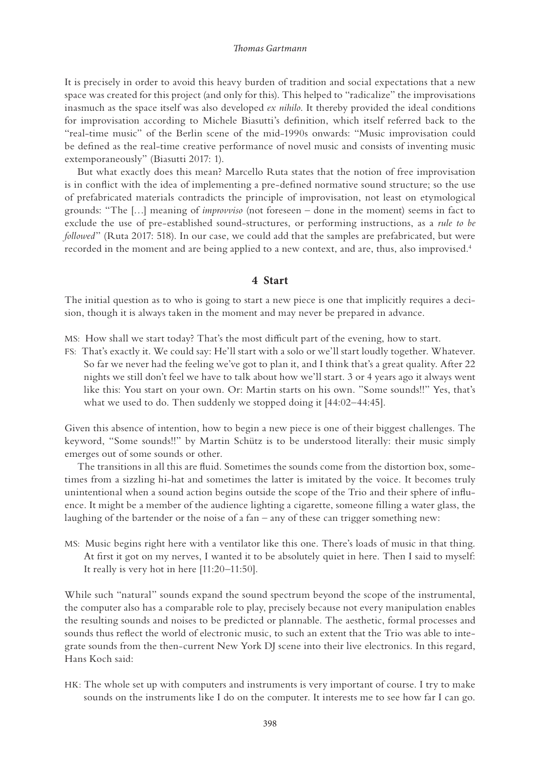<span id="page-7-0"></span>It is precisely in order to avoid this heavy burden of tradition and social expectations that a new space was created for this project (and only for this). This helped to "radicalize" the improvisations inasmuch as the space itself was also developed *ex nihilo*. It thereby provided the ideal conditions for improvisation according to Michele Biasutti's definition, which itself referred back to the "real-time music" of the Berlin scene of the mid-1990s onwards: "Music improvisation could be defined as the real-time creative performance of novel music and consists of inventing music extemporaneously" (Biasutti 2017: 1).

But what exactly does this mean? Marcello Ruta states that the notion of free improvisation is in conflict with the idea of implementing a pre-defined normative sound structure; so the use of prefabricated materials contradicts the principle of improvisation, not least on etymological grounds: "The […] meaning of *improvviso* (not foreseen – done in the moment) seems in fact to exclude the use of pre-established sound-structures, or performing instructions, as a *rule to be followed*" (Ruta 2017: 518). In our case, we could add that the samples are prefabricated, but were recorded in the moment and are being applied to a new context, and are, thus, also improvised.<sup>4</sup>

## **4 Start**

The initial question as to who is going to start a new piece is one that implicitly requires a decision, though it is always taken in the moment and may never be prepared in advance.

MS: How shall we start today? That's the most difficult part of the evening, how to start.

FS: That's exactly it. We could say: He'll start with a solo or we'll start loudly together. Whatever. So far we never had the feeling we've got to plan it, and I think that's a great quality. After 22 nights we still don't feel we have to talk about how we'll start. 3 or 4 years ago it always went like this: You start on your own. Or: Martin starts on his own. "Some sounds!!" Yes, that's what we used to do. Then suddenly we stopped doing it [44:02–44:45].

Given this absence of intention, how to begin a new piece is one of their biggest challenges. The keyword, "Some sounds!!" by Martin Schütz is to be understood literally: their music simply emerges out of some sounds or other.

The transitions in all this are fluid. Sometimes the sounds come from the distortion box, sometimes from a sizzling hi-hat and sometimes the latter is imitated by the voice. It becomes truly unintentional when a sound action begins outside the scope of the Trio and their sphere of influence. It might be a member of the audience lighting a cigarette, someone filling a water glass, the laughing of the bartender or the noise of a fan – any of these can trigger something new:

MS: Music begins right here with a ventilator like this one. There's loads of music in that thing. At first it got on my nerves, I wanted it to be absolutely quiet in here. Then I said to myself: It really is very hot in here [11:20–11:50].

While such "natural" sounds expand the sound spectrum beyond the scope of the instrumental, the computer also has a comparable role to play, precisely because not every manipulation enables the resulting sounds and noises to be predicted or plannable. The aesthetic, formal processes and sounds thus reflect the world of electronic music, to such an extent that the Trio was able to integrate sounds from the then-current New York DJ scene into their live electronics. In this regard, Hans Koch said:

HK: The whole set up with computers and instruments is very important of course. I try to make sounds on the instruments like I do on the computer. It interests me to see how far I can go.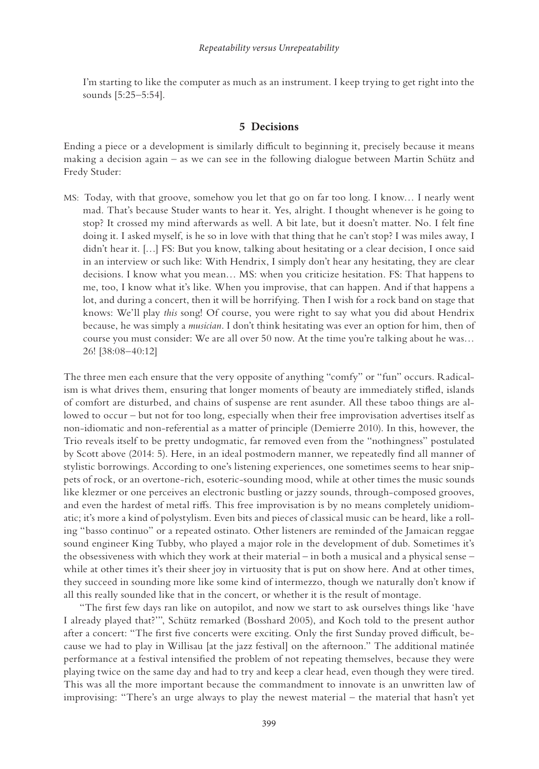I'm starting to like the computer as much as an instrument. I keep trying to get right into the sounds [5:25–5:54].

## **5 Decisions**

Ending a piece or a development is similarly difficult to beginning it, precisely because it means making a decision again – as we can see in the following dialogue between Martin Schütz and Fredy Studer:

MS: Today, with that groove, somehow you let that go on far too long. I know… I nearly went mad. That's because Studer wants to hear it. Yes, alright. I thought whenever is he going to stop? It crossed my mind afterwards as well. A bit late, but it doesn't matter. No. I felt fine doing it. I asked myself, is he so in love with that thing that he can't stop? I was miles away, I didn't hear it. […] FS: But you know, talking about hesitating or a clear decision, I once said in an interview or such like: With Hendrix, I simply don't hear any hesitating, they are clear decisions. I know what you mean… MS: when you criticize hesitation. FS: That happens to me, too, I know what it's like. When you improvise, that can happen. And if that happens a lot, and during a concert, then it will be horrifying. Then I wish for a rock band on stage that knows: We'll play *this* song! Of course, you were right to say what you did about Hendrix because, he was simply a *musician*. I don't think hesitating was ever an option for him, then of course you must consider: We are all over 50 now. At the time you're talking about he was... 26! [38:08–40:12]

The three men each ensure that the very opposite of anything "comfy" or "fun" occurs. Radicalism is what drives them, ensuring that longer moments of beauty are immediately stifled, islands of comfort are disturbed, and chains of suspense are rent asunder. All these taboo things are allowed to occur – but not for too long, especially when their free improvisation advertises itself as non-idiomatic and non-referential as a matter of principle (Demierre 2010). In this, however, the Trio reveals itself to be pretty undogmatic, far removed even from the "nothingness" postulated by Scott above (2014: 5). Here, in an ideal postmodern manner, we repeatedly find all manner of stylistic borrowings. According to one's listening experiences, one sometimes seems to hear snippets of rock, or an overtone-rich, esoteric-sounding mood, while at other times the music sounds like klezmer or one perceives an electronic bustling or jazzy sounds, through-composed grooves, and even the hardest of metal riffs. This free improvisation is by no means completely unidiomatic; it's more a kind of polystylism. Even bits and pieces of classical music can be heard, like a rolling "basso continuo" or a repeated ostinato. Other listeners are reminded of the Jamaican reggae sound engineer King Tubby, who played a major role in the development of dub. Sometimes it's the obsessiveness with which they work at their material – in both a musical and a physical sense – while at other times it's their sheer joy in virtuosity that is put on show here. And at other times, they succeed in sounding more like some kind of intermezzo, though we naturally don't know if all this really sounded like that in the concert, or whether it is the result of montage.

 "The first few days ran like on autopilot, and now we start to ask ourselves things like 'have I already played that?'", Schütz remarked (Bosshard 2005), and Koch told to the present author after a concert: "The first five concerts were exciting. Only the first Sunday proved difficult, because we had to play in Willisau [at the jazz festival] on the afternoon." The additional matinée performance at a festival intensified the problem of not repeating themselves, because they were playing twice on the same day and had to try and keep a clear head, even though they were tired. This was all the more important because the commandment to innovate is an unwritten law of improvising: "There's an urge always to play the newest material – the material that hasn't yet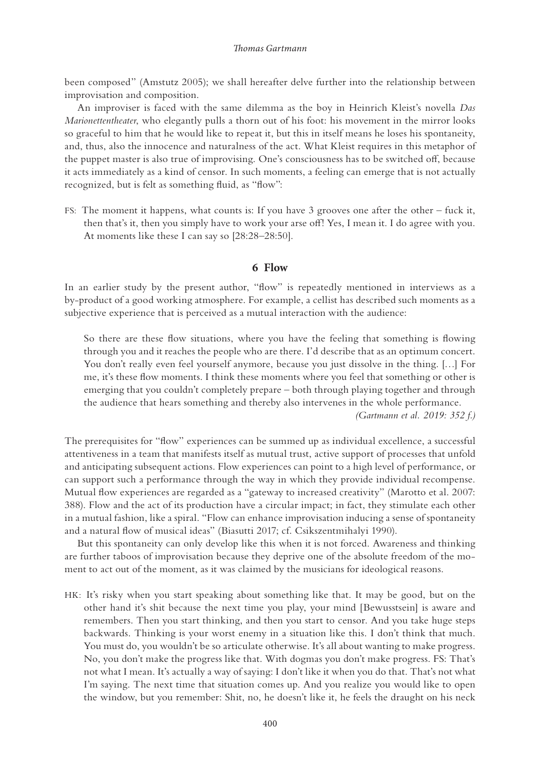been composed" (Amstutz 2005); we shall hereafter delve further into the relationship between improvisation and composition.

An improviser is faced with the same dilemma as the boy in Heinrich Kleist's novella *Das Marionettentheater*, who elegantly pulls a thorn out of his foot: his movement in the mirror looks so graceful to him that he would like to repeat it, but this in itself means he loses his spontaneity, and, thus, also the innocence and naturalness of the act. What Kleist requires in this metaphor of the puppet master is also true of improvising. One's consciousness has to be switched off, because it acts immediately as a kind of censor. In such moments, a feeling can emerge that is not actually recognized, but is felt as something fluid, as "flow":

FS: The moment it happens, what counts is: If you have 3 grooves one after the other – fuck it, then that's it, then you simply have to work your arse off! Yes, I mean it. I do agree with you. At moments like these I can say so [28:28–28:50].

## **6 Flow**

In an earlier study by the present author, "flow" is repeatedly mentioned in interviews as a by-product of a good working atmosphere. For example, a cellist has described such moments as a subjective experience that is perceived as a mutual interaction with the audience:

So there are these flow situations, where you have the feeling that something is flowing through you and it reaches the people who are there. I'd describe that as an optimum concert. You don't really even feel yourself anymore, because you just dissolve in the thing. […] For me, it's these flow moments. I think these moments where you feel that something or other is emerging that you couldn't completely prepare – both through playing together and through the audience that hears something and thereby also intervenes in the whole performance.

*(Gartmann et al. 2019: 352 f.)*

The prerequisites for "flow" experiences can be summed up as individual excellence, a successful attentiveness in a team that manifests itself as mutual trust, active support of processes that unfold and anticipating subsequent actions. Flow experiences can point to a high level of performance, or can support such a performance through the way in which they provide individual recompense. Mutual flow experiences are regarded as a "gateway to increased creativity" (Marotto et al. 2007: 388). Flow and the act of its production have a circular impact; in fact, they stimulate each other in a mutual fashion, like a spiral. "Flow can enhance improvisation inducing a sense of spontaneity and a natural flow of musical ideas" (Biasutti 2017; cf. Csikszentmihalyi 1990).

But this spontaneity can only develop like this when it is not forced. Awareness and thinking are further taboos of improvisation because they deprive one of the absolute freedom of the moment to act out of the moment, as it was claimed by the musicians for ideological reasons.

HK: It's risky when you start speaking about something like that. It may be good, but on the other hand it's shit because the next time you play, your mind [Bewusstsein] is aware and remembers. Then you start thinking, and then you start to censor. And you take huge steps backwards. Thinking is your worst enemy in a situation like this. I don't think that much. You must do, you wouldn't be so articulate otherwise. It's all about wanting to make progress. No, you don't make the progress like that. With dogmas you don't make progress. FS: That's not what I mean. It's actually a way of saying: I don't like it when you do that. That's not what I'm saying. The next time that situation comes up. And you realize you would like to open the window, but you remember: Shit, no, he doesn't like it, he feels the draught on his neck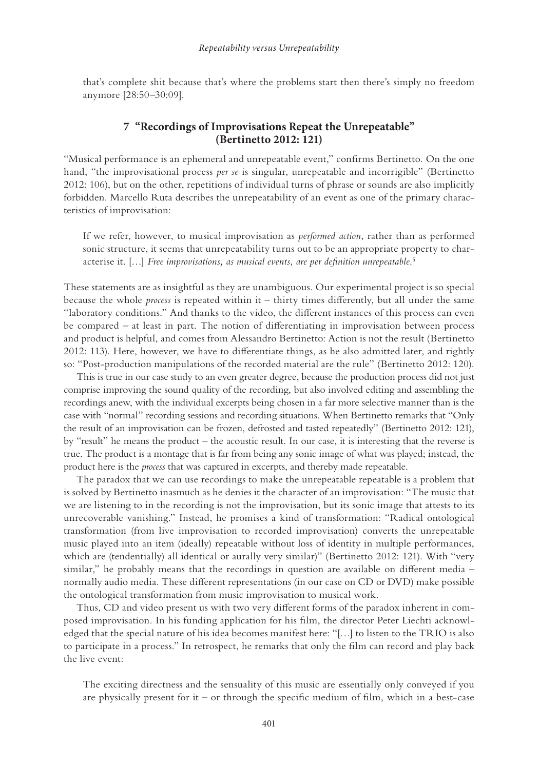<span id="page-10-0"></span>that's complete shit because that's where the problems start then there's simply no freedom anymore [28:50–30:09].

## **7 "Recordings of Improvisations Repeat the Unrepeatable" (Bertinetto 2012: 121)**

"Musical performance is an ephemeral and unrepeatable event," confirms Bertinetto. On the one hand, "the improvisational process *per se* is singular, unrepeatable and incorrigible" (Bertinetto 2012: 106), but on the other, repetitions of individual turns of phrase or sounds are also implicitly forbidden. Marcello Ruta describes the unrepeatability of an event as one of the primary characteristics of improvisation:

If we refer, however, to musical improvisation as *performed action*, rather than as performed sonic structure, it seems that unrepeatability turns out to be an appropriate property to characterise it. […] *Free improvisations, as musical events, are per definition unrepeatable*. [5](#page-12-0)

These statements are as insightful as they are unambiguous. Our experimental project is so special because the whole *process* is repeated within it – thirty times differently, but all under the same "laboratory conditions." And thanks to the video, the different instances of this process can even be compared – at least in part. The notion of differentiating in improvisation between process and product is helpful, and comes from Alessandro Bertinetto: Action is not the result (Bertinetto 2012: 113). Here, however, we have to differentiate things, as he also admitted later, and rightly so: "Post-production manipulations of the recorded material are the rule" (Bertinetto 2012: 120).

This is true in our case study to an even greater degree, because the production process did not just comprise improving the sound quality of the recording, but also involved editing and assembling the recordings anew, with the individual excerpts being chosen in a far more selective manner than is the case with "normal" recording sessions and recording situations. When Bertinetto remarks that "Only the result of an improvisation can be frozen, defrosted and tasted repeatedly" (Bertinetto 2012: 121), by "result" he means the product – the acoustic result. In our case, it is interesting that the reverse is true. The product is a montage that is far from being any sonic image of what was played; instead, the product here is the *process* that was captured in excerpts, and thereby made repeatable.

The paradox that we can use recordings to make the unrepeatable repeatable is a problem that is solved by Bertinetto inasmuch as he denies it the character of an improvisation: "The music that we are listening to in the recording is not the improvisation, but its sonic image that attests to its unrecoverable vanishing." Instead, he promises a kind of transformation: "Radical ontological transformation (from live improvisation to recorded improvisation) converts the unrepeatable music played into an item (ideally) repeatable without loss of identity in multiple performances, which are (tendentially) all identical or aurally very similar)" (Bertinetto 2012: 121). With "very similar," he probably means that the recordings in question are available on different media – normally audio media. These different representations (in our case on CD or DVD) make possible the ontological transformation from music improvisation to musical work.

Thus, CD and video present us with two very different forms of the paradox inherent in composed improvisation. In his funding application for his film, the director Peter Liechti acknowledged that the special nature of his idea becomes manifest here: "[…] to listen to the TRIO is also to participate in a process." In retrospect, he remarks that only the film can record and play back the live event:

The exciting directness and the sensuality of this music are essentially only conveyed if you are physically present for it – or through the specific medium of film, which in a best-case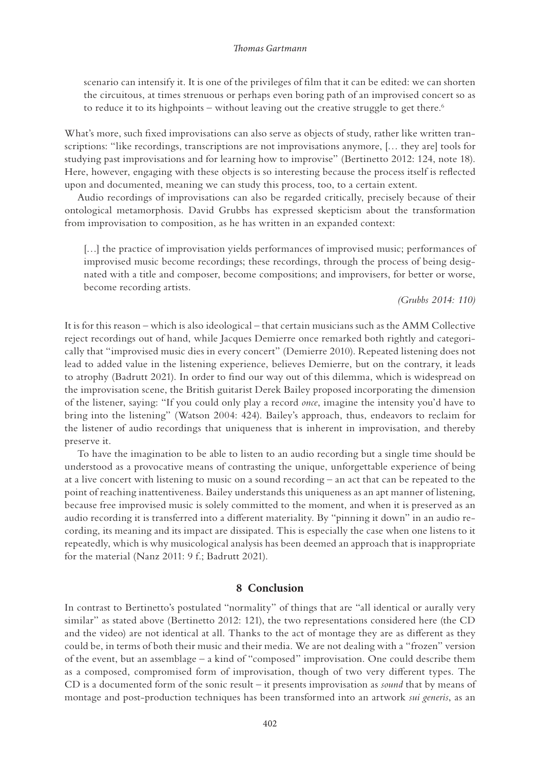<span id="page-11-0"></span>scenario can intensify it. It is one of the privileges of film that it can be edited: we can shorten the circuitous, at times strenuous or perhaps even boring path of an improvised concert so as to reduce it to its highpoints – without leaving out the creative struggle to get there.<sup>6</sup>

What's more, such fixed improvisations can also serve as objects of study, rather like written transcriptions: "like recordings, transcriptions are not improvisations anymore, [… they are] tools for studying past improvisations and for learning how to improvise" (Bertinetto 2012: 124, note 18). Here, however, engaging with these objects is so interesting because the process itself is reflected upon and documented, meaning we can study this process, too, to a certain extent.

Audio recordings of improvisations can also be regarded critically, precisely because of their ontological metamorphosis. David Grubbs has expressed skepticism about the transformation from improvisation to composition, as he has written in an expanded context:

[...] the practice of improvisation yields performances of improvised music; performances of improvised music become recordings; these recordings, through the process of being designated with a title and composer, become compositions; and improvisers, for better or worse, become recording artists.

## *(Grubbs 2014: 110)*

It is for this reason – which is also ideological – that certain musicians such as the AMM Collective reject recordings out of hand, while Jacques Demierre once remarked both rightly and categorically that "improvised music dies in every concert" (Demierre 2010). Repeated listening does not lead to added value in the listening experience, believes Demierre, but on the contrary, it leads to atrophy (Badrutt 2021). In order to find our way out of this dilemma, which is widespread on the improvisation scene, the British guitarist Derek Bailey proposed incorporating the dimension of the listener, saying: "If you could only play a record *once*, imagine the intensity you'd have to bring into the listening" (Watson 2004: 424). Bailey's approach, thus, endeavors to reclaim for the listener of audio recordings that uniqueness that is inherent in improvisation, and thereby preserve it.

To have the imagination to be able to listen to an audio recording but a single time should be understood as a provocative means of contrasting the unique, unforgettable experience of being at a live concert with listening to music on a sound recording – an act that can be repeated to the point of reaching inattentiveness. Bailey understands this uniqueness as an apt manner of listening, because free improvised music is solely committed to the moment, and when it is preserved as an audio recording it is transferred into a different materiality. By "pinning it down" in an audio recording, its meaning and its impact are dissipated. This is especially the case when one listens to it repeatedly, which is why musicological analysis has been deemed an approach that is inappropriate for the material (Nanz 2011: 9 f.; Badrutt 2021).

## **8 Conclusion**

In contrast to Bertinetto's postulated "normality" of things that are "all identical or aurally very similar" as stated above (Bertinetto 2012: 121), the two representations considered here (the CD and the video) are not identical at all. Thanks to the act of montage they are as different as they could be, in terms of both their music and their media. We are not dealing with a "frozen" version of the event, but an assemblage – a kind of "composed" improvisation. One could describe them as a composed, compromised form of improvisation, though of two very different types. The CD is a documented form of the sonic result – it presents improvisation as *sound* that by means of montage and post-production techniques has been transformed into an artwork *sui generis*, as an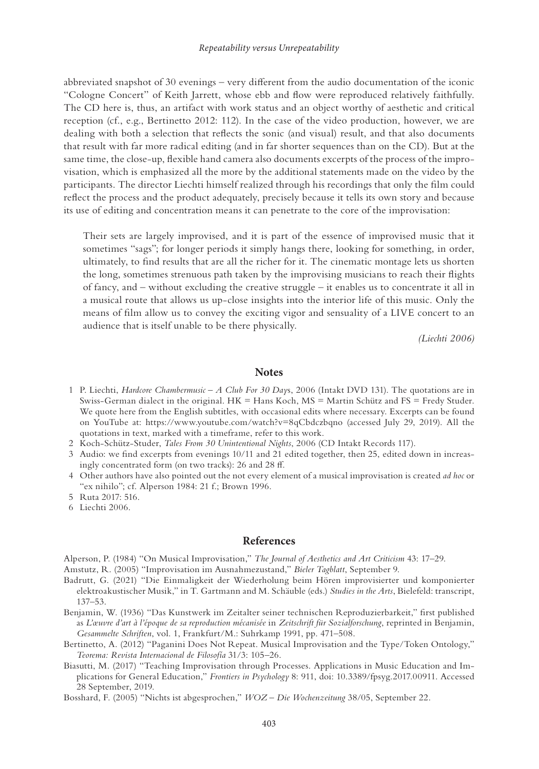<span id="page-12-0"></span>abbreviated snapshot of 30 evenings – very different from the audio documentation of the iconic "Cologne Concert" of Keith Jarrett, whose ebb and flow were reproduced relatively faithfully. The CD here is, thus, an artifact with work status and an object worthy of aesthetic and critical reception (cf., e.g., Bertinetto 2012: 112). In the case of the video production, however, we are dealing with both a selection that reflects the sonic (and visual) result, and that also documents that result with far more radical editing (and in far shorter sequences than on the CD). But at the same time, the close-up, flexible hand camera also documents excerpts of the process of the improvisation, which is emphasized all the more by the additional statements made on the video by the participants. The director Liechti himself realized through his recordings that only the film could reflect the process and the product adequately, precisely because it tells its own story and because its use of editing and concentration means it can penetrate to the core of the improvisation:

Their sets are largely improvised, and it is part of the essence of improvised music that it sometimes "sags"; for longer periods it simply hangs there, looking for something, in order, ultimately, to find results that are all the richer for it. The cinematic montage lets us shorten the long, sometimes strenuous path taken by the improvising musicians to reach their flights of fancy, and – without excluding the creative struggle – it enables us to concentrate it all in a musical route that allows us up-close insights into the interior life of this music. Only the means of film allow us to convey the exciting vigor and sensuality of a LIVE concert to an audience that is itself unable to be there physically.

*(Liechti 2006)*

### **Notes**

- [1](#page-1-0) P. Liechti, *Hardcore Chambermusic A Club For 30 Day*s, 2006 (Intakt DVD 131). The quotations are in Swiss-German dialect in the original. HK = Hans Koch, MS = Martin Schütz and FS = Fredy Studer. We quote here from the English subtitles, with occasional edits where necessary. Excerpts can be found on YouTube at: [https://www.youtube.com/watch?v=8qCbdczbqno](https://www.youtube.com) (accessed July 29, 2019). All the quotations in text, marked with a timeframe, refer to this work.
- [2](#page-2-0) Koch-Schütz-Studer, *Tales From 30 Unintentional Nights*, 2006 (CD Intakt Records 117).
- [3](#page-2-0) Audio: we find excerpts from evenings 10/11 and 21 edited together, then 25, edited down in increasingly concentrated form (on two tracks): 26 and 28 ff.
- [4](#page-7-0) Other authors have also pointed out the not every element of a musical improvisation is created *ad hoc* or "ex nihilo"; cf. Alperson 1984: 21 f.; Brown 1996.
- [5](#page-10-0) Ruta 2017: 516.
- [6](#page-11-0) Liechti 2006.

### **References**

Alperson, P. (1984) "On Musical Improvisation," *The Journal of Aesthetics and Art Criticism* 43: 17–29.

Amstutz, R. (2005) "Improvisation im Ausnahmezustand," *Bieler Tagblatt*, September 9.

- Badrutt, G. (2021) "Die Einmaligkeit der Wiederholung beim Hören improvisierter und komponierter elektroakustischer Musik," in T. Gartmann and M. Schäuble (eds.) *Studies in the Arts*, Bielefeld: transcript, 137–53.
- Benjamin, W. (1936) "Das Kunstwerk im Zeitalter seiner technischen Reproduzierbarkeit," first published as *L'œuvre d'art à l'époque de sa reproduction mécanisée* in *Zeitschrift für Sozialforschung*, reprinted in Benjamin, *Gesammelte Schriften*, vol. 1, Frankfurt/M.: Suhrkamp 1991, pp. 471–508.
- Bertinetto, A. (2012) "Paganini Does Not Repeat. Musical Improvisation and the Type/Token Ontology," *Teorema: Revista Internacional de Filosofía* 31/3: 105–26.
- Biasutti, M. (2017) "Teaching Improvisation through Processes. Applications in Music Education and Implications for General Education," *Frontiers in Psychology* 8: 911[, doi: 10.3389/fpsyg.2017.00911](https://doi.org/10.3389/fpsyg.2017.00911). Accessed 28 September, 2019.

Bosshard, F. (2005) "Nichts ist abgesprochen," *WOZ – Die Wochenzeitung* 38/05, September 22.